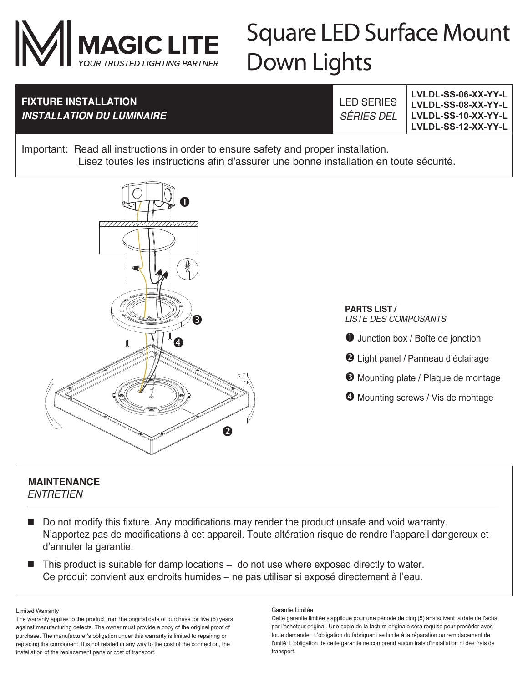

# Square LED Surface Mount Down Lights

## **FIXTURE INSTALLATION** *INSTALLATION DU LUMINAIRE*

LED SERIES *SÉRIES DEL*

**LVLDL-SS-06-XX-YY-L LVLDL-SS-08-XX-YY-L LVLDL-SS-10-XX-YY-L LVLDL-SS-12-XX-YY-L**

Important: Read all instructions in order to ensure safety and proper installation. Lisez toutes les instructions afin d'assurer une bonne installation en toute sécurité.



#### **MAINTENANCE**

*ENTRETIEN*

- Do not modify this fixture. Any modifications may render the product unsafe and void warranty. N'apportez pas de modifications à cet appareil. Toute altération risque de rendre l'appareil dangereux et d'annuler la garantie.
- $\blacksquare$  This product is suitable for damp locations  $-$  do not use where exposed directly to water. Ce produit convient aux endroits humides – ne pas utiliser si exposé directement à l'eau.

Limited Warranty

The warranty applies to the product from the original date of purchase for five (5) years against manufacturing defects. The owner must provide a copy of the original proof of purchase. The manufacturer's obligation under this warranty is limited to repairing or replacing the component. It is not related in any way to the cost of the connection, the installation of the replacement parts or cost of transport.

Garantie Limitée

Cette garantie limitée s'applique pour une période de cinq (5) ans suivant la date de l'achat par l'acheteur original. Une copie de la facture originale sera requise pour procéder avec toute demande. L'obligation du fabriquant se limite à la réparation ou remplacement de l'unité. L'obligation de cette garantie ne comprend aucun frais d'installation ni des frais de transport.